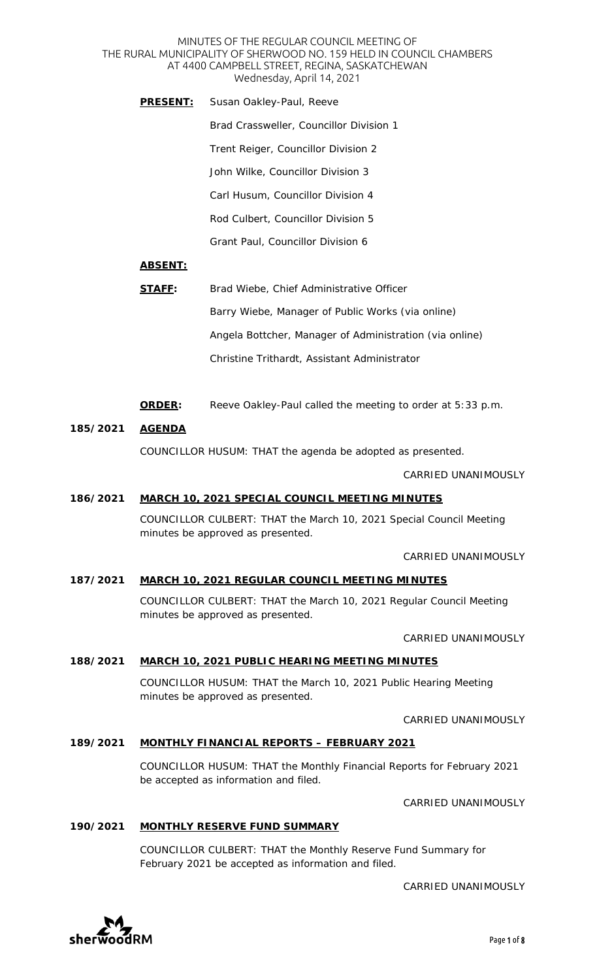#### MINUTES OF THE REGULAR COUNCIL MEETING OF THE RURAL MUNICIPALITY OF SHERWOOD NO. 159 HELD IN COUNCIL CHAMBERS AT 4400 CAMPBELL STREET, REGINA, SASKATCHEWAN Wednesday, April 14, 2021

**PRESENT:** Susan Oakley-Paul, Reeve Brad Crassweller, Councillor Division 1 Trent Reiger, Councillor Division 2 John Wilke, Councillor Division 3 Carl Husum, Councillor Division 4 Rod Culbert, Councillor Division 5 Grant Paul, Councillor Division 6

### **ABSENT:**

- **STAFF:** Brad Wiebe, Chief Administrative Officer Barry Wiebe, Manager of Public Works *(via online)* Angela Bottcher, Manager of Administration *(via online)* Christine Trithardt, Assistant Administrator
- **ORDER:** Reeve Oakley-Paul called the meeting to order at 5:33 p.m.

#### **185/2021 AGENDA**

COUNCILLOR HUSUM: THAT the agenda be adopted as presented.

CARRIED UNANIMOUSLY

#### **186/2021 MARCH 10, 2021 SPECIAL COUNCIL MEETING MINUTES**

COUNCILLOR CULBERT: THAT the March 10, 2021 Special Council Meeting minutes be approved as presented.

CARRIED UNANIMOUSLY

### **187/2021 MARCH 10, 2021 REGULAR COUNCIL MEETING MINUTES**

COUNCILLOR CULBERT: THAT the March 10, 2021 Regular Council Meeting minutes be approved as presented.

CARRIED UNANIMOUSLY

#### **188/2021 MARCH 10, 2021 PUBLIC HEARING MEETING MINUTES**

COUNCILLOR HUSUM: THAT the March 10, 2021 Public Hearing Meeting minutes be approved as presented.

CARRIED UNANIMOUSLY

# **189/2021 MONTHLY FINANCIAL REPORTS – FEBRUARY 2021**

COUNCILLOR HUSUM: THAT the Monthly Financial Reports for February 2021 be accepted as information and filed.

CARRIED UNANIMOUSLY

#### **190/2021 MONTHLY RESERVE FUND SUMMARY**

COUNCILLOR CULBERT: THAT the Monthly Reserve Fund Summary for February 2021 be accepted as information and filed.

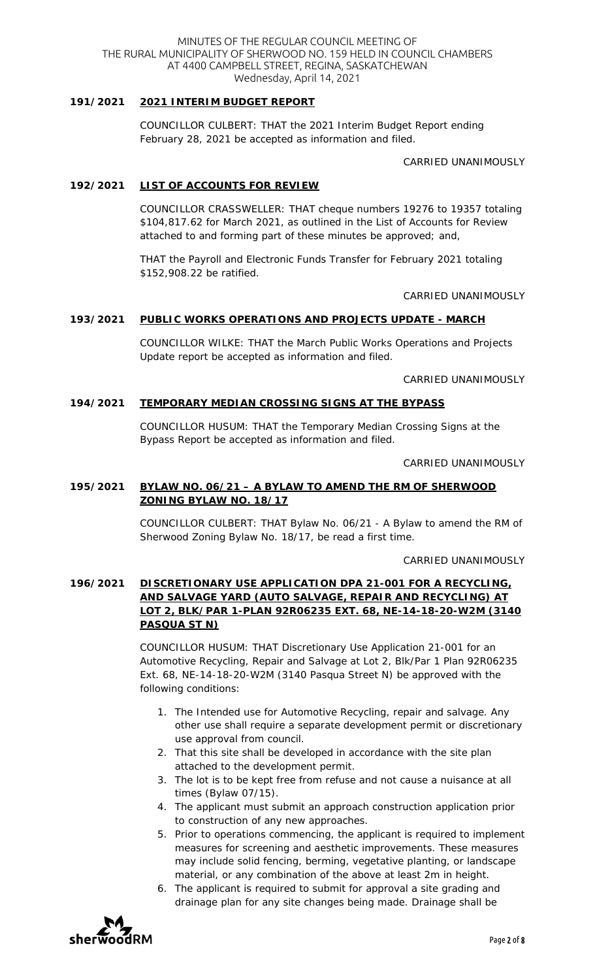#### MINUTES OF THE REGULAR COUNCIL MEETING OF THE RURAL MUNICIPALITY OF SHERWOOD NO. 159 HELD IN COUNCIL CHAMBERS AT 4400 CAMPBELL STREET, REGINA, SASKATCHEWAN Wednesday, April 14, 2021

### **191/2021 2021 INTERIM BUDGET REPORT**

COUNCILLOR CULBERT: THAT the 2021 Interim Budget Report ending February 28, 2021 be accepted as information and filed.

CARRIED UNANIMOUSLY

#### **192/2021 LIST OF ACCOUNTS FOR REVIEW**

COUNCILLOR CRASSWELLER: THAT cheque numbers 19276 to 19357 totaling \$104,817.62 for March 2021, as outlined in the List of Accounts for Review attached to and forming part of these minutes be approved; and,

THAT the Payroll and Electronic Funds Transfer for February 2021 totaling \$152,908.22 be ratified.

CARRIED UNANIMOUSLY

#### **193/2021 PUBLIC WORKS OPERATIONS AND PROJECTS UPDATE - MARCH**

COUNCILLOR WILKE: THAT the March Public Works Operations and Projects Update report be accepted as information and filed.

CARRIED UNANIMOUSLY

### **194/2021 TEMPORARY MEDIAN CROSSING SIGNS AT THE BYPASS**

COUNCILLOR HUSUM: THAT the Temporary Median Crossing Signs at the Bypass Report be accepted as information and filed.

CARRIED UNANIMOUSLY

# **195/2021 BYLAW NO. 06/21 – A BYLAW TO AMEND THE RM OF SHERWOOD ZONING BYLAW NO. 18/17**

COUNCILLOR CULBERT: THAT Bylaw No. 06/21 - A Bylaw to amend the RM of Sherwood Zoning Bylaw No. 18/17, be read a first time.

CARRIED UNANIMOUSLY

# **196/2021 DISCRETIONARY USE APPLICATION DPA 21-001 FOR A RECYCLING, AND SALVAGE YARD (AUTO SALVAGE, REPAIR AND RECYCLING) AT LOT 2, BLK/PAR 1-PLAN 92R06235 EXT. 68, NE-14-18-20-W2M (3140 PASQUA ST N)**

COUNCILLOR HUSUM: THAT Discretionary Use Application 21-001 for an Automotive Recycling, Repair and Salvage at Lot 2, Blk/Par 1 Plan 92R06235 Ext. 68, NE-14-18-20-W2M (3140 Pasqua Street N) be approved with the following conditions:

- 1. The Intended use for Automotive Recycling, repair and salvage. Any other use shall require a separate development permit or discretionary use approval from council.
- 2. That this site shall be developed in accordance with the site plan attached to the development permit.
- 3. The lot is to be kept free from refuse and not cause a nuisance at all times (Bylaw 07/15).
- 4. The applicant must submit an approach construction application prior to construction of any new approaches.
- 5. Prior to operations commencing, the applicant is required to implement measures for screening and aesthetic improvements. These measures may include solid fencing, berming, vegetative planting, or landscape material, or any combination of the above at least 2m in height.
- 6. The applicant is required to submit for approval a site grading and drainage plan for any site changes being made. Drainage shall be

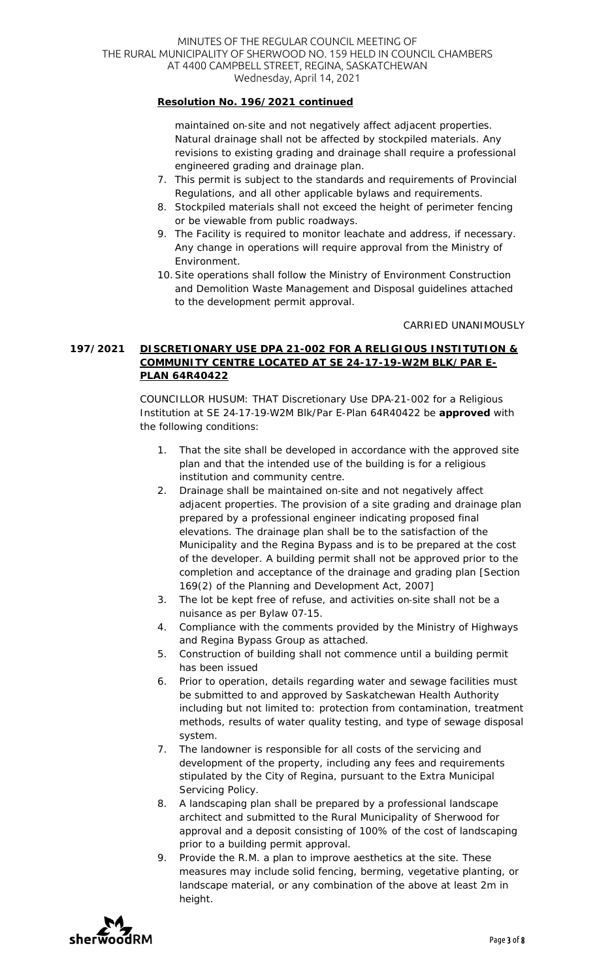# **Resolution No. 196/2021 continued**

maintained on-site and not negatively affect adjacent properties. Natural drainage shall not be affected by stockpiled materials. Any revisions to existing grading and drainage shall require a professional engineered grading and drainage plan.

- 7. This permit is subject to the standards and requirements of Provincial Regulations, and all other applicable bylaws and requirements.
- 8. Stockpiled materials shall not exceed the height of perimeter fencing or be viewable from public roadways.
- 9. The Facility is required to monitor leachate and address, if necessary. Any change in operations will require approval from the Ministry of Environment.
- 10.Site operations shall follow the Ministry of Environment Construction and Demolition Waste Management and Disposal guidelines attached to the development permit approval.

CARRIED UNANIMOUSLY

# **197/2021 DISCRETIONARY USE DPA 21-002 FOR A RELIGIOUS INSTITUTION & COMMUNITY CENTRE LOCATED AT SE 24-17-19-W2M BLK/PAR E-PLAN 64R40422**

COUNCILLOR HUSUM: THAT Discretionary Use DPA-21-002 for a Religious Institution at SE 24-17-19-W2M Blk/Par E-Plan 64R40422 be **approved** with the following conditions:

- 1. That the site shall be developed in accordance with the approved site plan and that the intended use of the building is for a religious institution and community centre.
- 2. Drainage shall be maintained on-site and not negatively affect adjacent properties. The provision of a site grading and drainage plan prepared by a professional engineer indicating proposed final elevations. The drainage plan shall be to the satisfaction of the Municipality and the Regina Bypass and is to be prepared at the cost of the developer. A building permit shall not be approved prior to the completion and acceptance of the drainage and grading plan [Section 169(2) of the Planning and Development Act, 2007]
- 3. The lot be kept free of refuse, and activities on-site shall not be a nuisance as per Bylaw 07-15.
- 4. Compliance with the comments provided by the Ministry of Highways and Regina Bypass Group as attached.
- 5. Construction of building shall not commence until a building permit has been issued
- 6. Prior to operation, details regarding water and sewage facilities must be submitted to and approved by Saskatchewan Health Authority including but not limited to: protection from contamination, treatment methods, results of water quality testing, and type of sewage disposal system.
- 7. The landowner is responsible for all costs of the servicing and development of the property, including any fees and requirements stipulated by the City of Regina, pursuant to the Extra Municipal Servicing Policy.
- 8. A landscaping plan shall be prepared by a professional landscape architect and submitted to the Rural Municipality of Sherwood for approval and a deposit consisting of 100% of the cost of landscaping prior to a building permit approval.
- 9. Provide the R.M. a plan to improve aesthetics at the site. These measures may include solid fencing, berming, vegetative planting, or landscape material, or any combination of the above at least 2m in height.

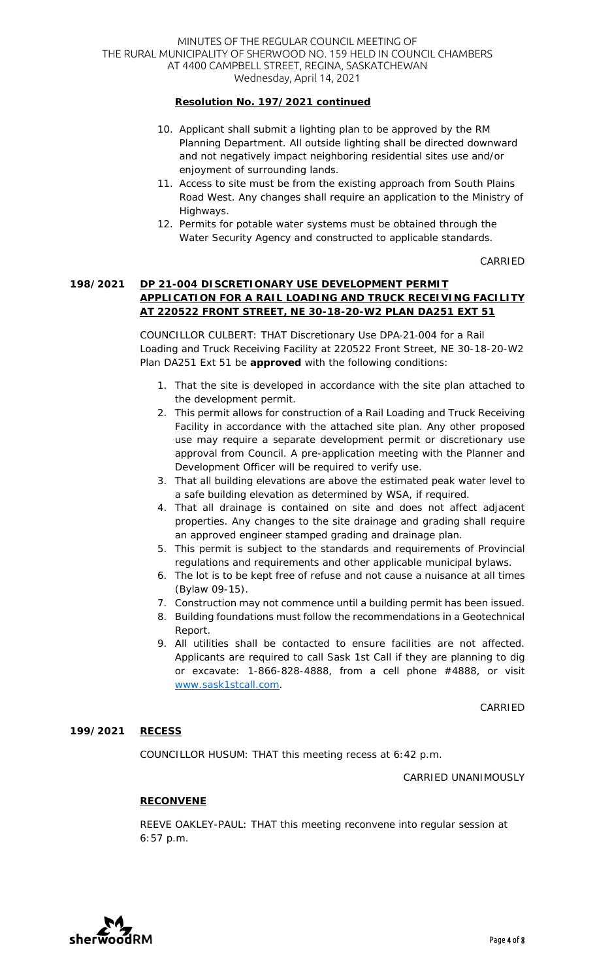# **Resolution No. 197/2021 continued**

- 10. Applicant shall submit a lighting plan to be approved by the RM Planning Department. All outside lighting shall be directed downward and not negatively impact neighboring residential sites use and/or enjoyment of surrounding lands.
- 11. Access to site must be from the existing approach from South Plains Road West. Any changes shall require an application to the Ministry of Highways.
- 12. Permits for potable water systems must be obtained through the Water Security Agency and constructed to applicable standards.

CARRIED

### **198/2021 DP 21-004 DISCRETIONARY USE DEVELOPMENT PERMIT APPLICATION FOR A RAIL LOADING AND TRUCK RECEIVING FACILITY AT 220522 FRONT STREET, NE 30-18-20-W2 PLAN DA251 EXT 51**

COUNCILLOR CULBERT: THAT Discretionary Use DPA-21-004 for a Rail Loading and Truck Receiving Facility at 220522 Front Street, NE 30-18-20-W2 Plan DA251 Ext 51 be **approved** with the following conditions:

- 1. That the site is developed in accordance with the site plan attached to the development permit.
- 2. This permit allows for construction of a Rail Loading and Truck Receiving Facility in accordance with the attached site plan. Any other proposed use may require a separate development permit or discretionary use approval from Council. A pre-application meeting with the Planner and Development Officer will be required to verify use.
- 3. That all building elevations are above the estimated peak water level to a safe building elevation as determined by WSA, if required.
- 4. That all drainage is contained on site and does not affect adjacent properties. Any changes to the site drainage and grading shall require an approved engineer stamped grading and drainage plan.
- 5. This permit is subject to the standards and requirements of Provincial regulations and requirements and other applicable municipal bylaws.
- 6. The lot is to be kept free of refuse and not cause a nuisance at all times (Bylaw 09-15).
- 7. Construction may not commence until a building permit has been issued.
- 8. Building foundations must follow the recommendations in a Geotechnical Report.
- 9. All utilities shall be contacted to ensure facilities are not affected. Applicants are required to call Sask 1st Call if they are planning to dig or excavate: 1-866-828-4888, from a cell phone #4888, or visit www.sask1stcall.com.

CARRIED

#### **199/2021 RECESS**

COUNCILLOR HUSUM: THAT this meeting recess at 6:42 p.m.

CARRIED UNANIMOUSLY

# **RECONVENE**

REEVE OAKLEY-PAUL: THAT this meeting reconvene into regular session at 6:57 p.m.

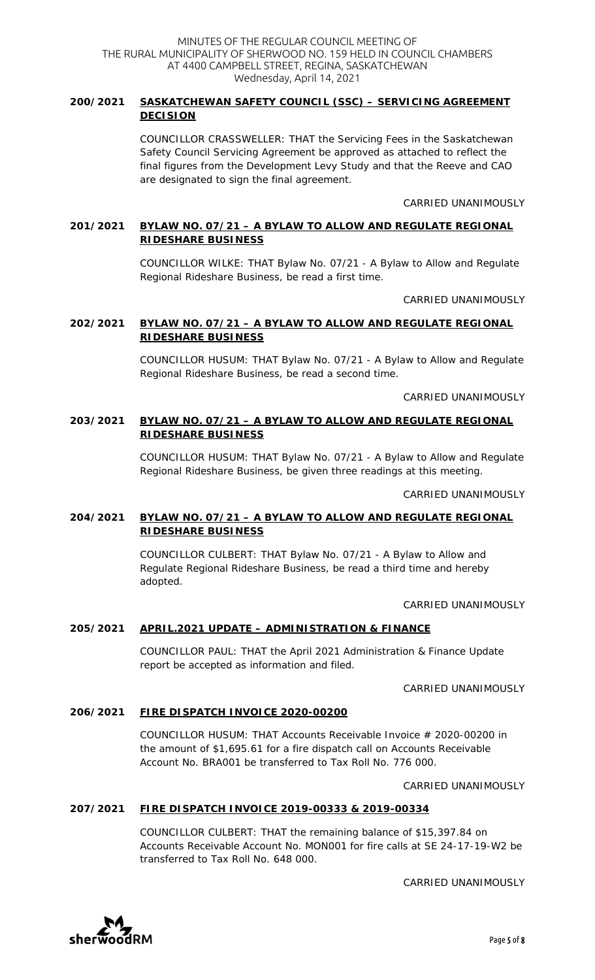# **200/2021 SASKATCHEWAN SAFETY COUNCIL (SSC) – SERVICING AGREEMENT DECISION**

COUNCILLOR CRASSWELLER: THAT the Servicing Fees in the Saskatchewan Safety Council Servicing Agreement be approved as attached to reflect the final figures from the Development Levy Study and that the Reeve and CAO are designated to sign the final agreement.

CARRIED UNANIMOUSLY

# **201/2021 BYLAW NO. 07/21 – A BYLAW TO ALLOW AND REGULATE REGIONAL RIDESHARE BUSINESS**

COUNCILLOR WILKE: THAT Bylaw No. 07/21 - A Bylaw to Allow and Regulate Regional Rideshare Business, be read a first time.

CARRIED UNANIMOUSLY

# **202/2021 BYLAW NO. 07/21 – A BYLAW TO ALLOW AND REGULATE REGIONAL RIDESHARE BUSINESS**

COUNCILLOR HUSUM: THAT Bylaw No. 07/21 - A Bylaw to Allow and Regulate Regional Rideshare Business, be read a second time.

CARRIED UNANIMOUSLY

# **203/2021 BYLAW NO. 07/21 – A BYLAW TO ALLOW AND REGULATE REGIONAL RIDESHARE BUSINESS**

COUNCILLOR HUSUM: THAT Bylaw No. 07/21 - A Bylaw to Allow and Regulate Regional Rideshare Business, be given three readings at this meeting.

CARRIED UNANIMOUSLY

# **204/2021 BYLAW NO. 07/21 – A BYLAW TO ALLOW AND REGULATE REGIONAL RIDESHARE BUSINESS**

COUNCILLOR CULBERT: THAT Bylaw No. 07/21 - A Bylaw to Allow and Regulate Regional Rideshare Business, be read a third time and hereby adopted.

#### CARRIED UNANIMOUSLY

# **205/2021 APRIL.2021 UPDATE – ADMINISTRATION & FINANCE**

COUNCILLOR PAUL: THAT the April 2021 Administration & Finance Update report be accepted as information and filed.

CARRIED UNANIMOUSLY

# **206/2021 FIRE DISPATCH INVOICE 2020-00200**

COUNCILLOR HUSUM: THAT Accounts Receivable Invoice # 2020-00200 in the amount of \$1,695.61 for a fire dispatch call on Accounts Receivable Account No. BRA001 be transferred to Tax Roll No. 776 000.

#### CARRIED UNANIMOUSLY

# **207/2021 FIRE DISPATCH INVOICE 2019-00333 & 2019-00334**

COUNCILLOR CULBERT: THAT the remaining balance of \$15,397.84 on Accounts Receivable Account No. MON001 for fire calls at SE 24-17-19-W2 be transferred to Tax Roll No. 648 000.

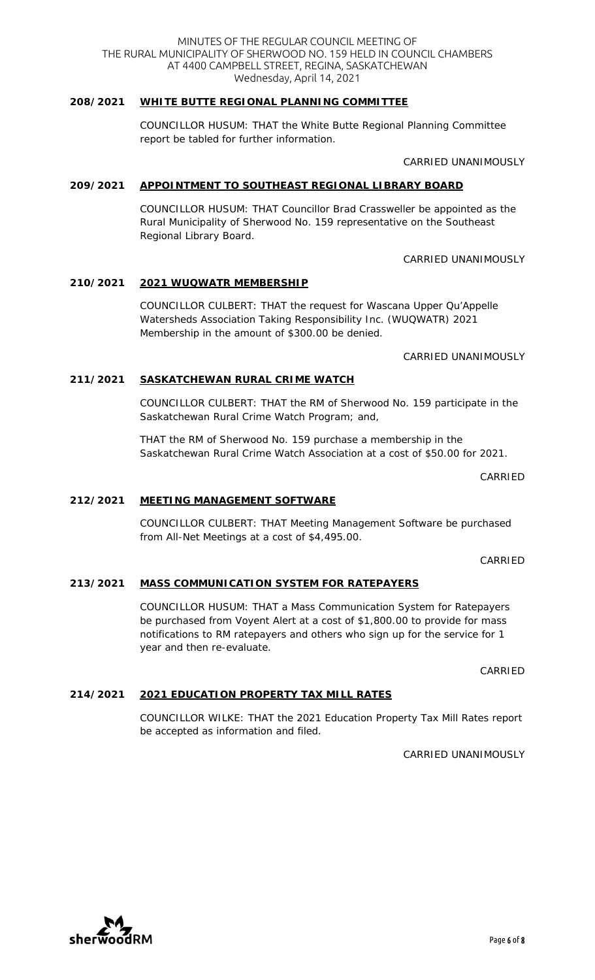MINUTES OF THE REGULAR COUNCIL MEETING OF THE RURAL MUNICIPALITY OF SHERWOOD NO. 159 HELD IN COUNCIL CHAMBERS AT 4400 CAMPBELL STREET, REGINA, SASKATCHEWAN Wednesday, April 14, 2021

# **208/2021 WHITE BUTTE REGIONAL PLANNING COMMITTEE**

COUNCILLOR HUSUM: THAT the White Butte Regional Planning Committee report be tabled for further information.

CARRIED UNANIMOUSLY

# **209/2021 APPOINTMENT TO SOUTHEAST REGIONAL LIBRARY BOARD**

COUNCILLOR HUSUM: THAT Councillor Brad Crassweller be appointed as the Rural Municipality of Sherwood No. 159 representative on the Southeast Regional Library Board.

# CARRIED UNANIMOUSLY

# **210/2021 2021 WUQWATR MEMBERSHIP**

COUNCILLOR CULBERT: THAT the request for Wascana Upper Qu'Appelle Watersheds Association Taking Responsibility Inc. (WUQWATR) 2021 Membership in the amount of \$300.00 be denied.

# CARRIED UNANIMOUSLY

# **211/2021 SASKATCHEWAN RURAL CRIME WATCH**

COUNCILLOR CULBERT: THAT the RM of Sherwood No. 159 participate in the Saskatchewan Rural Crime Watch Program; and,

THAT the RM of Sherwood No. 159 purchase a membership in the Saskatchewan Rural Crime Watch Association at a cost of \$50.00 for 2021.

CARRIED

# **212/2021 MEETING MANAGEMENT SOFTWARE**

COUNCILLOR CULBERT: THAT Meeting Management Software be purchased from All-Net Meetings at a cost of \$4,495.00.

CARRIED

# **213/2021 MASS COMMUNICATION SYSTEM FOR RATEPAYERS**

COUNCILLOR HUSUM: THAT a Mass Communication System for Ratepayers be purchased from Voyent Alert at a cost of \$1,800.00 to provide for mass notifications to RM ratepayers and others who sign up for the service for 1 year and then re-evaluate.

CARRIED

# **214/2021 2021 EDUCATION PROPERTY TAX MILL RATES**

COUNCILLOR WILKE: THAT the 2021 Education Property Tax Mill Rates report be accepted as information and filed.

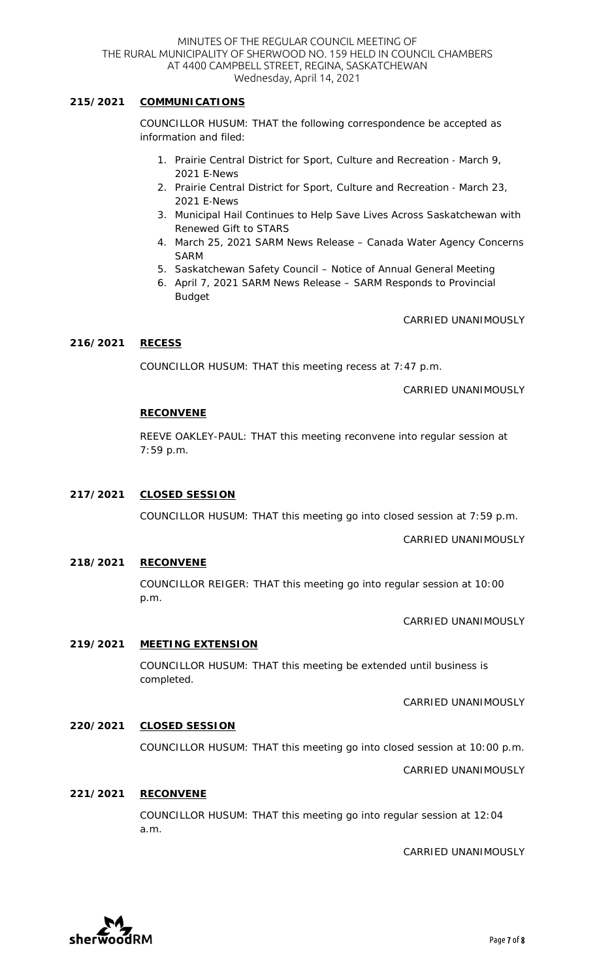### **215/2021 COMMUNICATIONS**

COUNCILLOR HUSUM: THAT the following correspondence be accepted as information and filed:

- 1. Prairie Central District for Sport, Culture and Recreation March 9, 2021 E-News
- 2. Prairie Central District for Sport, Culture and Recreation March 23, 2021 E-News
- 3. Municipal Hail Continues to Help Save Lives Across Saskatchewan with Renewed Gift to STARS
- 4. March 25, 2021 SARM News Release Canada Water Agency Concerns SARM
- 5. Saskatchewan Safety Council Notice of Annual General Meeting
- 6. April 7, 2021 SARM News Release SARM Responds to Provincial Budget

CARRIED UNANIMOUSLY

#### **216/2021 RECESS**

COUNCILLOR HUSUM: THAT this meeting recess at 7:47 p.m.

CARRIED UNANIMOUSLY

#### **RECONVENE**

REEVE OAKLEY-PAUL: THAT this meeting reconvene into regular session at 7:59 p.m.

#### **217/2021 CLOSED SESSION**

COUNCILLOR HUSUM: THAT this meeting go into closed session at 7:59 p.m.

CARRIED UNANIMOUSLY

#### **218/2021 RECONVENE**

COUNCILLOR REIGER: THAT this meeting go into regular session at 10:00 p.m.

CARRIED UNANIMOUSLY

#### **219/2021 MEETING EXTENSION**

COUNCILLOR HUSUM: THAT this meeting be extended until business is completed.

CARRIED UNANIMOUSLY

#### **220/2021 CLOSED SESSION**

COUNCILLOR HUSUM: THAT this meeting go into closed session at 10:00 p.m.

CARRIED UNANIMOUSLY

#### **221/2021 RECONVENE**

COUNCILLOR HUSUM: THAT this meeting go into regular session at 12:04 a.m.